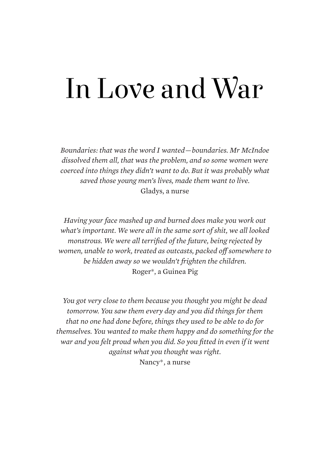# In Love and War

*Boundaries: that was the word I wanted* — *boundaries. Mr McIndoe dissolved them all, that was the problem, and so some women were coerced into things they didn't want to do. But it was probably what saved those young men's lives, made them want to live.* Gladys, a nurse

*Having your face mashed up and burned does make you work out what's important. We were all in the same sort of shit, we all looked monstrous. We were all terrified of the future, being rejected by women, unable to work, treated as outcasts, packed off somewhere to be hidden away so we wouldn't frighten the children.* Roger\*, a Guinea Pig

*You got very close to them because you thought you might be dead tomorrow. You saw them every day and you did things for them that no one had done before, things they used to be able to do for themselves. You wanted to make them happy and do something for the war and you felt proud when you did. So you fitted in even if it went against what you thought was right.* Nancy\* , a nurse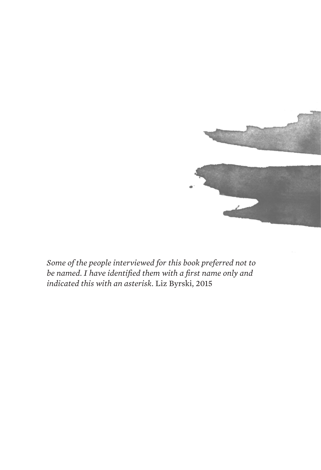

*Some of the people interviewed for this book preferred not to be named. I have identified them with a first name only and indicated this with an asterisk.* Liz Byrski, 2015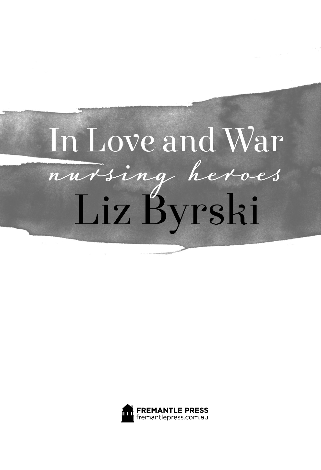

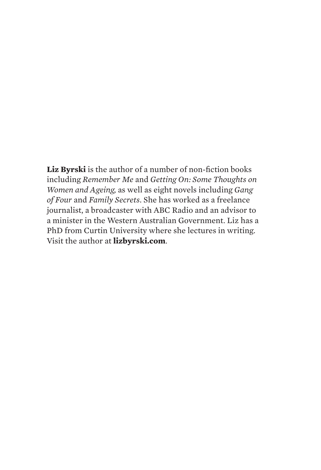**Liz Byrski** is the author of a number of non-fiction books including *Remember Me* and *Getting On: Some Thoughts on Women and Ageing,* as well as eight novels including *Gang of Four* and *Family Secrets*. She has worked as a freelance journalist, a broadcaster with ABC Radio and an advisor to a minister in the Western Australian Government. Liz has a PhD from Curtin University where she lectures in writing. Visit the author at **lizbyrski.com**.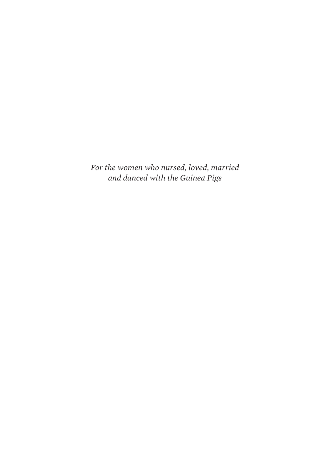*For the women who nursed, loved, married and danced with the Guinea Pigs*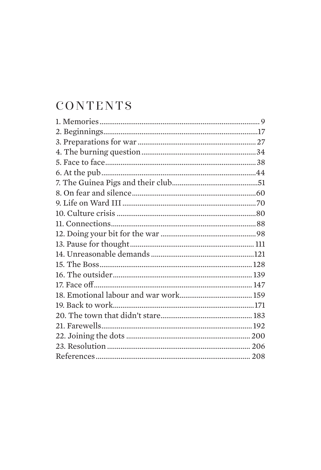## CONTENTS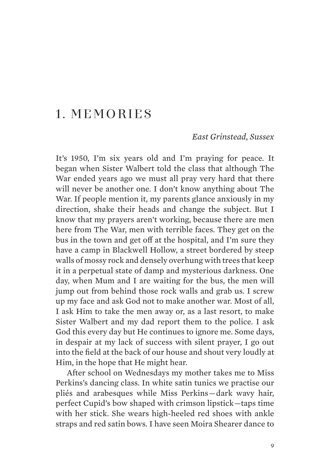### 1. MEMORIES

*East Grinstead, Sussex*

It's 1950, I'm six years old and I'm praying for peace. It began when Sister Walbert told the class that although The War ended years ago we must all pray very hard that there will never be another one. I don't know anything about The War. If people mention it, my parents glance anxiously in my direction, shake their heads and change the subject. But I know that my prayers aren't working, because there are men here from The War, men with terrible faces. They get on the bus in the town and get off at the hospital, and I'm sure they have a camp in Blackwell Hollow, a street bordered by steep walls of mossy rock and densely overhung with trees that keep it in a perpetual state of damp and mysterious darkness. One day, when Mum and I are waiting for the bus, the men will jump out from behind those rock walls and grab us. I screw up my face and ask God not to make another war. Most of all, I ask Him to take the men away or, as a last resort, to make Sister Walbert and my dad report them to the police. I ask God this every day but He continues to ignore me. Some days, in despair at my lack of success with silent prayer, I go out into the field at the back of our house and shout very loudly at Him, in the hope that He might hear.

After school on Wednesdays my mother takes me to Miss Perkins's dancing class. In white satin tunics we practise our pliés and arabesques while Miss Perkins — dark wavy hair, perfect Cupid's bow shaped with crimson lipstick —taps time with her stick. She wears high-heeled red shoes with ankle straps and red satin bows. I have seen Moira Shearer dance to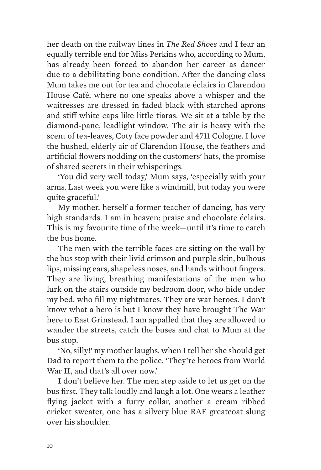her death on the railway lines in *The Red Shoes* and I fear an equally terrible end for Miss Perkins who, according to Mum, has already been forced to abandon her career as dancer due to a debilitating bone condition. After the dancing class Mum takes me out for tea and chocolate éclairs in Clarendon House Café, where no one speaks above a whisper and the waitresses are dressed in faded black with starched aprons and stiff white caps like little tiaras. We sit at a table by the diamond-pane, leadlight window. The air is heavy with the scent of tea-leaves, Coty face powder and 4711 Cologne. I love the hushed, elderly air of Clarendon House, the feathers and artificial flowers nodding on the customers' hats, the promise of shared secrets in their whisperings.

'You did very well today,' Mum says, 'especially with your arms. Last week you were like a windmill, but today you were quite graceful.'

My mother, herself a former teacher of dancing, has very high standards. I am in heaven: praise and chocolate éclairs. This is my favourite time of the week-until it's time to catch the bus home.

The men with the terrible faces are sitting on the wall by the bus stop with their livid crimson and purple skin, bulbous lips, missing ears, shapeless noses, and hands without fingers. They are living, breathing manifestations of the men who lurk on the stairs outside my bedroom door, who hide under my bed, who fill my nightmares. They are war heroes. I don't know what a hero is but I know they have brought The War here to East Grinstead. I am appalled that they are allowed to wander the streets, catch the buses and chat to Mum at the bus stop.

'No, silly!' my mother laughs, when I tell her she should get Dad to report them to the police. 'They're heroes from World War II, and that's all over now.'

I don't believe her. The men step aside to let us get on the bus first. They talk loudly and laugh a lot. One wears a leather flying jacket with a furry collar, another a cream ribbed cricket sweater, one has a silvery blue RAF greatcoat slung over his shoulder.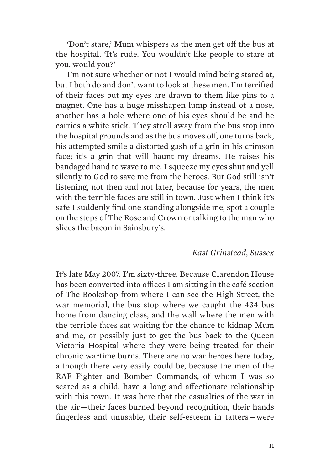'Don't stare,' Mum whispers as the men get off the bus at the hospital. 'It's rude. You wouldn't like people to stare at you, would you?'

I'm not sure whether or not I would mind being stared at, but I both do and don't want to look at these men. I'm terrified of their faces but my eyes are drawn to them like pins to a magnet. One has a huge misshapen lump instead of a nose, another has a hole where one of his eyes should be and he carries a white stick. They stroll away from the bus stop into the hospital grounds and as the bus moves off, one turns back, his attempted smile a distorted gash of a grin in his crimson face; it's a grin that will haunt my dreams. He raises his bandaged hand to wave to me. I squeeze my eyes shut and yell silently to God to save me from the heroes. But God still isn't listening, not then and not later, because for years, the men with the terrible faces are still in town. Just when I think it's safe I suddenly find one standing alongside me, spot a couple on the steps of The Rose and Crown or talking to the man who slices the bacon in Sainsbury's.

#### *East Grinstead, Sussex*

It's late May 2007. I'm sixty-three. Because Clarendon House has been converted into offices I am sitting in the café section of The Bookshop from where I can see the High Street, the war memorial, the bus stop where we caught the 434 bus home from dancing class, and the wall where the men with the terrible faces sat waiting for the chance to kidnap Mum and me, or possibly just to get the bus back to the Queen Victoria Hospital where they were being treated for their chronic wartime burns. There are no war heroes here today, although there very easily could be, because the men of the RAF Fighter and Bomber Commands, of whom I was so scared as a child, have a long and affectionate relationship with this town. It was here that the casualties of the war in the air—their faces burned beyond recognition, their hands fingerless and unusable, their self-esteem in tatters — were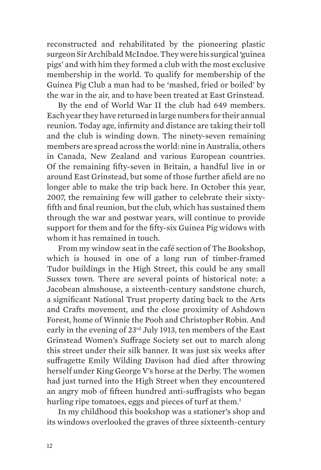reconstructed and rehabilitated by the pioneering plastic surgeon Sir Archibald McIndoe. They were his surgical 'guinea pigs' and with him they formed a club with the most exclusive membership in the world. To qualify for membership of the Guinea Pig Club a man had to be 'mashed, fried or boiled' by the war in the air, and to have been treated at East Grinstead.

By the end of World War II the club had 649 members. Each year they have returned in large numbers for their annual reunion. Today age, infirmity and distance are taking their toll and the club is winding down. The ninety-seven remaining members are spread across the world: nine in Australia, others in Canada, New Zealand and various European countries. Of the remaining fifty-seven in Britain, a handful live in or around East Grinstead, but some of those further afield are no longer able to make the trip back here. In October this year, 2007, the remaining few will gather to celebrate their sixtyfifth and final reunion, but the club, which has sustained them through the war and postwar years, will continue to provide support for them and for the fifty-six Guinea Pig widows with whom it has remained in touch.

From my window seat in the café section of The Bookshop, which is housed in one of a long run of timber-framed Tudor buildings in the High Street, this could be any small Sussex town. There are several points of historical note: a Jacobean almshouse, a sixteenth-century sandstone church, a significant National Trust property dating back to the Arts and Crafts movement, and the close proximity of Ashdown Forest, home of Winnie the Pooh and Christopher Robin. And early in the evening of 23rd July 1913, ten members of the East Grinstead Women's Suffrage Society set out to march along this street under their silk banner. It was just six weeks after suffragette Emily Wilding Davison had died after throwing herself under King George V's horse at the Derby. The women had just turned into the High Street when they encountered an angry mob of fifteen hundred anti-suffragists who began hurling ripe tomatoes, eggs and pieces of turf at them.<sup>1</sup>

In my childhood this bookshop was a stationer's shop and its windows overlooked the graves of three sixteenth-century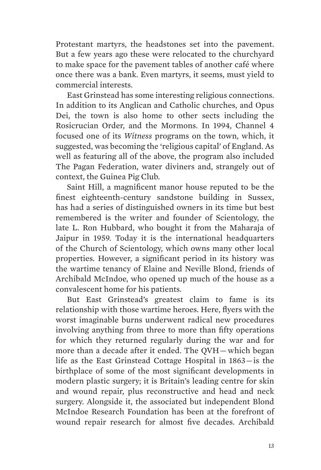Protestant martyrs, the headstones set into the pavement. But a few years ago these were relocated to the churchyard to make space for the pavement tables of another café where once there was a bank. Even martyrs, it seems, must yield to commercial interests.

East Grinstead has some interesting religious connections. In addition to its Anglican and Catholic churches, and Opus Dei, the town is also home to other sects including the Rosicrucian Order, and the Mormons. In 1994, Channel 4 focused one of its *Witness* programs on the town, which, it suggested, was becoming the 'religious capital' of England. As well as featuring all of the above, the program also included The Pagan Federation, water diviners and, strangely out of context, the Guinea Pig Club.

Saint Hill, a magnificent manor house reputed to be the finest eighteenth-century sandstone building in Sussex, has had a series of distinguished owners in its time but best remembered is the writer and founder of Scientology, the late L. Ron Hubbard, who bought it from the Maharaja of Jaipur in 1959. Today it is the international headquarters of the Church of Scientology, which owns many other local properties. However, a significant period in its history was the wartime tenancy of Elaine and Neville Blond, friends of Archibald McIndoe, who opened up much of the house as a convalescent home for his patients.

But East Grinstead's greatest claim to fame is its relationship with those wartime heroes. Here, flyers with the worst imaginable burns underwent radical new procedures involving anything from three to more than fifty operations for which they returned regularly during the war and for more than a decade after it ended. The QVH – which began life as the East Grinstead Cottage Hospital in 1863 — is the birthplace of some of the most significant developments in modern plastic surgery; it is Britain's leading centre for skin and wound repair, plus reconstructive and head and neck surgery. Alongside it, the associated but independent Blond McIndoe Research Foundation has been at the forefront of wound repair research for almost five decades. Archibald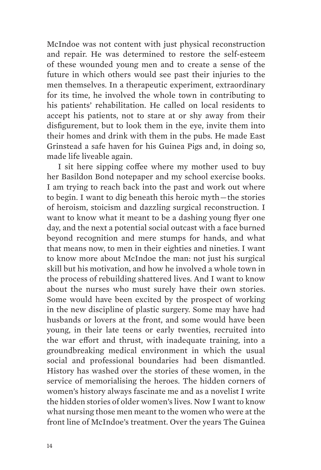McIndoe was not content with just physical reconstruction and repair. He was determined to restore the self-esteem of these wounded young men and to create a sense of the future in which others would see past their injuries to the men themselves. In a therapeutic experiment, extraordinary for its time, he involved the whole town in contributing to his patients' rehabilitation. He called on local residents to accept his patients, not to stare at or shy away from their disfigurement, but to look them in the eye, invite them into their homes and drink with them in the pubs. He made East Grinstead a safe haven for his Guinea Pigs and, in doing so, made life liveable again.

I sit here sipping coffee where my mother used to buy her Basildon Bond notepaper and my school exercise books. I am trying to reach back into the past and work out where to begin. I want to dig beneath this heroic myth — the stories of heroism, stoicism and dazzling surgical reconstruction. I want to know what it meant to be a dashing young flyer one day, and the next a potential social outcast with a face burned beyond recognition and mere stumps for hands, and what that means now, to men in their eighties and nineties. I want to know more about McIndoe the man: not just his surgical skill but his motivation, and how he involved a whole town in the process of rebuilding shattered lives. And I want to know about the nurses who must surely have their own stories. Some would have been excited by the prospect of working in the new discipline of plastic surgery. Some may have had husbands or lovers at the front, and some would have been young, in their late teens or early twenties, recruited into the war effort and thrust, with inadequate training, into a groundbreaking medical environment in which the usual social and professional boundaries had been dismantled. History has washed over the stories of these women, in the service of memorialising the heroes. The hidden corners of women's history always fascinate me and as a novelist I write the hidden stories of older women's lives. Now I want to know what nursing those men meant to the women who were at the front line of McIndoe's treatment. Over the years The Guinea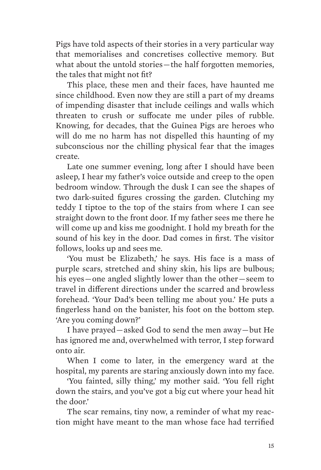Pigs have told aspects of their stories in a very particular way that memorialises and concretises collective memory. But what about the untold stories—the half forgotten memories, the tales that might not fit?

This place, these men and their faces, have haunted me since childhood. Even now they are still a part of my dreams of impending disaster that include ceilings and walls which threaten to crush or suffocate me under piles of rubble. Knowing, for decades, that the Guinea Pigs are heroes who will do me no harm has not dispelled this haunting of my subconscious nor the chilling physical fear that the images create.

Late one summer evening, long after I should have been asleep, I hear my father's voice outside and creep to the open bedroom window. Through the dusk I can see the shapes of two dark-suited figures crossing the garden. Clutching my teddy I tiptoe to the top of the stairs from where I can see straight down to the front door. If my father sees me there he will come up and kiss me goodnight. I hold my breath for the sound of his key in the door. Dad comes in first. The visitor follows, looks up and sees me.

'You must be Elizabeth,' he says. His face is a mass of purple scars, stretched and shiny skin, his lips are bulbous; his eyes—one angled slightly lower than the other—seem to travel in different directions under the scarred and browless forehead. 'Your Dad's been telling me about you.' He puts a fingerless hand on the banister, his foot on the bottom step. 'Are you coming down?'

I have prayed — asked God to send the men away — but He has ignored me and, overwhelmed with terror, I step forward onto air.

When I come to later, in the emergency ward at the hospital, my parents are staring anxiously down into my face.

'You fainted, silly thing,' my mother said. 'You fell right down the stairs, and you've got a big cut where your head hit the door.'

The scar remains, tiny now, a reminder of what my reaction might have meant to the man whose face had terrified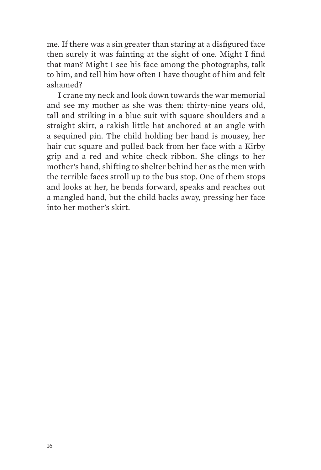me. If there was a sin greater than staring at a disfigured face then surely it was fainting at the sight of one. Might I find that man? Might I see his face among the photographs, talk to him, and tell him how often I have thought of him and felt ashamed?

I crane my neck and look down towards the war memorial and see my mother as she was then: thirty-nine years old, tall and striking in a blue suit with square shoulders and a straight skirt, a rakish little hat anchored at an angle with a sequined pin. The child holding her hand is mousey, her hair cut square and pulled back from her face with a Kirby grip and a red and white check ribbon. She clings to her mother's hand, shifting to shelter behind her as the men with the terrible faces stroll up to the bus stop. One of them stops and looks at her, he bends forward, speaks and reaches out a mangled hand, but the child backs away, pressing her face into her mother's skirt.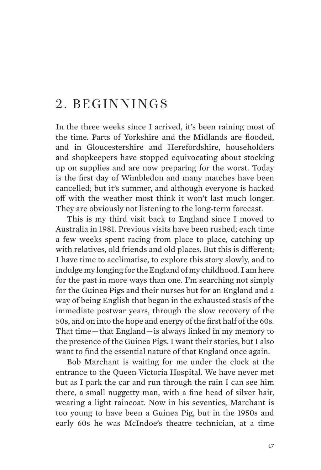### 2. BEGINNINGS

In the three weeks since I arrived, it's been raining most of the time. Parts of Yorkshire and the Midlands are flooded, and in Gloucestershire and Herefordshire, householders and shopkeepers have stopped equivocating about stocking up on supplies and are now preparing for the worst. Today is the first day of Wimbledon and many matches have been cancelled; but it's summer, and although everyone is hacked off with the weather most think it won't last much longer. They are obviously not listening to the long-term forecast.

This is my third visit back to England since I moved to Australia in 1981. Previous visits have been rushed; each time a few weeks spent racing from place to place, catching up with relatives, old friends and old places. But this is different; I have time to acclimatise, to explore this story slowly, and to indulge my longing for the England of my childhood. I am here for the past in more ways than one. I'm searching not simply for the Guinea Pigs and their nurses but for an England and a way of being English that began in the exhausted stasis of the immediate postwar years, through the slow recovery of the 50s, and on into the hope and energy of the first half of the 60s. That time—that England—is always linked in my memory to the presence of the Guinea Pigs. I want their stories, but I also want to find the essential nature of that England once again.

Bob Marchant is waiting for me under the clock at the entrance to the Queen Victoria Hospital. We have never met but as I park the car and run through the rain I can see him there, a small nuggetty man, with a fine head of silver hair, wearing a light raincoat. Now in his seventies, Marchant is too young to have been a Guinea Pig, but in the 1950s and early 60s he was McIndoe's theatre technician, at a time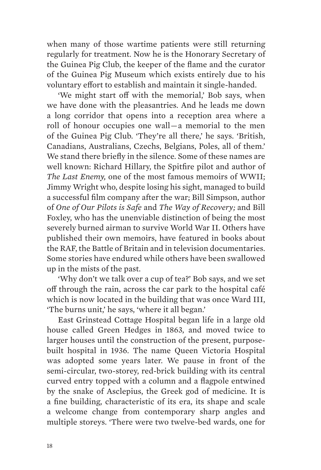when many of those wartime patients were still returning regularly for treatment. Now he is the Honorary Secretary of the Guinea Pig Club, the keeper of the flame and the curator of the Guinea Pig Museum which exists entirely due to his voluntary effort to establish and maintain it single-handed.

'We might start off with the memorial,' Bob says, when we have done with the pleasantries. And he leads me down a long corridor that opens into a reception area where a roll of honour occupies one wall-a memorial to the men of the Guinea Pig Club. 'They're all there,' he says. 'British, Canadians, Australians, Czechs, Belgians, Poles, all of them.' We stand there briefly in the silence. Some of these names are well known: Richard Hillary, the Spitfire pilot and author of *The Last Enemy,* one of the most famous memoirs of WWII; Jimmy Wright who, despite losing his sight, managed to build a successful film company after the war; Bill Simpson, author of *One of Our Pilots is Safe* and *The Way of Recovery;* and Bill Foxley, who has the unenviable distinction of being the most severely burned airman to survive World War II. Others have published their own memoirs, have featured in books about the RAF, the Battle of Britain and in television documentaries. Some stories have endured while others have been swallowed up in the mists of the past.

'Why don't we talk over a cup of tea?' Bob says, and we set off through the rain, across the car park to the hospital café which is now located in the building that was once Ward III, 'The burns unit,' he says, 'where it all began.'

East Grinstead Cottage Hospital began life in a large old house called Green Hedges in 1863, and moved twice to larger houses until the construction of the present, purposebuilt hospital in 1936. The name Queen Victoria Hospital was adopted some years later. We pause in front of the semi-circular, two-storey, red-brick building with its central curved entry topped with a column and a flagpole entwined by the snake of Asclepius, the Greek god of medicine. It is a fine building, characteristic of its era, its shape and scale a welcome change from contemporary sharp angles and multiple storeys. 'There were two twelve-bed wards, one for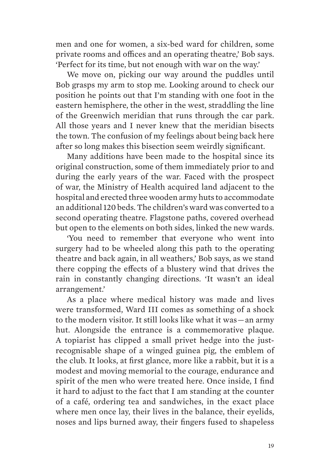men and one for women, a six-bed ward for children, some private rooms and offices and an operating theatre,' Bob says. 'Perfect for its time, but not enough with war on the way.'

We move on, picking our way around the puddles until Bob grasps my arm to stop me. Looking around to check our position he points out that I'm standing with one foot in the eastern hemisphere, the other in the west, straddling the line of the Greenwich meridian that runs through the car park. All those years and I never knew that the meridian bisects the town. The confusion of my feelings about being back here after so long makes this bisection seem weirdly significant.

Many additions have been made to the hospital since its original construction, some of them immediately prior to and during the early years of the war. Faced with the prospect of war, the Ministry of Health acquired land adjacent to the hospital and erected three wooden army huts to accommodate an additional 120 beds. The children's ward was converted to a second operating theatre. Flagstone paths, covered overhead but open to the elements on both sides, linked the new wards.

'You need to remember that everyone who went into surgery had to be wheeled along this path to the operating theatre and back again, in all weathers,' Bob says, as we stand there copping the effects of a blustery wind that drives the rain in constantly changing directions. 'It wasn't an ideal arrangement.'

As a place where medical history was made and lives were transformed, Ward III comes as something of a shock to the modern visitor. It still looks like what it was — an army hut. Alongside the entrance is a commemorative plaque. A topiarist has clipped a small privet hedge into the justrecognisable shape of a winged guinea pig, the emblem of the club. It looks, at first glance, more like a rabbit, but it is a modest and moving memorial to the courage, endurance and spirit of the men who were treated here. Once inside, I find it hard to adjust to the fact that I am standing at the counter of a café, ordering tea and sandwiches, in the exact place where men once lay, their lives in the balance, their eyelids, noses and lips burned away, their fingers fused to shapeless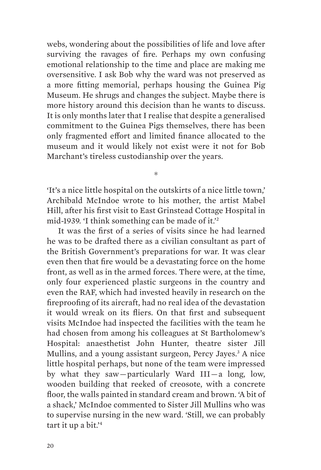webs, wondering about the possibilities of life and love after surviving the ravages of fire. Perhaps my own confusing emotional relationship to the time and place are making me oversensitive. I ask Bob why the ward was not preserved as a more fitting memorial, perhaps housing the Guinea Pig Museum. He shrugs and changes the subject. Maybe there is more history around this decision than he wants to discuss. It is only months later that I realise that despite a generalised commitment to the Guinea Pigs themselves, there has been only fragmented effort and limited finance allocated to the museum and it would likely not exist were it not for Bob Marchant's tireless custodianship over the years.

'It's a nice little hospital on the outskirts of a nice little town,' Archibald McIndoe wrote to his mother, the artist Mabel Hill, after his first visit to East Grinstead Cottage Hospital in mid-1939. 'I think something can be made of it.'2

\*

It was the first of a series of visits since he had learned he was to be drafted there as a civilian consultant as part of the British Government's preparations for war. It was clear even then that fire would be a devastating force on the home front, as well as in the armed forces. There were, at the time, only four experienced plastic surgeons in the country and even the RAF, which had invested heavily in research on the fireproofing of its aircraft, had no real idea of the devastation it would wreak on its fliers. On that first and subsequent visits McIndoe had inspected the facilities with the team he had chosen from among his colleagues at St Bartholomew's Hospital: anaesthetist John Hunter, theatre sister Jill Mullins, and a young assistant surgeon, Percy Jayes.<sup>3</sup> A nice little hospital perhaps, but none of the team were impressed by what they saw—particularly Ward  $III-a$  long, low, wooden building that reeked of creosote, with a concrete floor, the walls painted in standard cream and brown. 'A bit of a shack,' McIndoe commented to Sister Jill Mullins who was to supervise nursing in the new ward. 'Still, we can probably tart it up a bit.'4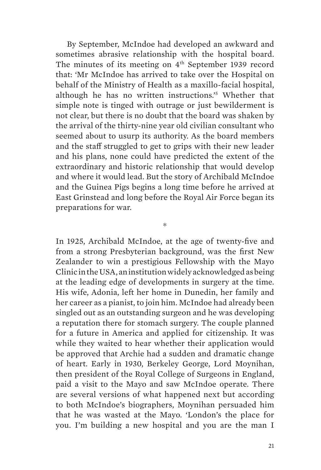By September, McIndoe had developed an awkward and sometimes abrasive relationship with the hospital board. The minutes of its meeting on 4<sup>th</sup> September 1939 record that: 'Mr McIndoe has arrived to take over the Hospital on behalf of the Ministry of Health as a maxillo-facial hospital, although he has no written instructions.'5 Whether that simple note is tinged with outrage or just bewilderment is not clear, but there is no doubt that the board was shaken by the arrival of the thirty-nine year old civilian consultant who seemed about to usurp its authority. As the board members and the staff struggled to get to grips with their new leader and his plans, none could have predicted the extent of the extraordinary and historic relationship that would develop and where it would lead. But the story of Archibald McIndoe and the Guinea Pigs begins a long time before he arrived at East Grinstead and long before the Royal Air Force began its preparations for war.

\*

In 1925, Archibald McIndoe, at the age of twenty-five and from a strong Presbyterian background, was the first New Zealander to win a prestigious Fellowship with the Mayo Clinic in the USA, an institution widely acknowledged as being at the leading edge of developments in surgery at the time. His wife, Adonia, left her home in Dunedin, her family and her career as a pianist, to join him. McIndoe had already been singled out as an outstanding surgeon and he was developing a reputation there for stomach surgery. The couple planned for a future in America and applied for citizenship. It was while they waited to hear whether their application would be approved that Archie had a sudden and dramatic change of heart. Early in 1930, Berkeley George, Lord Moynihan, then president of the Royal College of Surgeons in England, paid a visit to the Mayo and saw McIndoe operate. There are several versions of what happened next but according to both McIndoe's biographers, Moynihan persuaded him that he was wasted at the Mayo. 'London's the place for you. I'm building a new hospital and you are the man I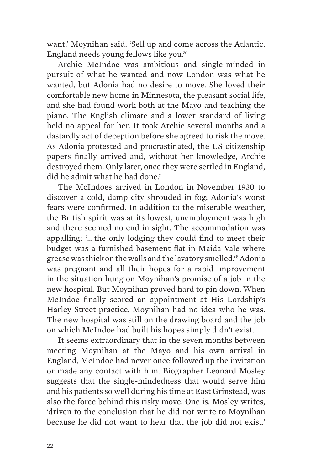want,' Moynihan said. 'Sell up and come across the Atlantic. England needs young fellows like you.'6

Archie McIndoe was ambitious and single-minded in pursuit of what he wanted and now London was what he wanted, but Adonia had no desire to move. She loved their comfortable new home in Minnesota, the pleasant social life, and she had found work both at the Mayo and teaching the piano. The English climate and a lower standard of living held no appeal for her. It took Archie several months and a dastardly act of deception before she agreed to risk the move. As Adonia protested and procrastinated, the US citizenship papers finally arrived and, without her knowledge, Archie destroyed them. Only later, once they were settled in England, did he admit what he had done.<sup>7</sup>

The McIndoes arrived in London in November 1930 to discover a cold, damp city shrouded in fog; Adonia's worst fears were confirmed. In addition to the miserable weather, the British spirit was at its lowest, unemployment was high and there seemed no end in sight. The accommodation was appalling: '… the only lodging they could find to meet their budget was a furnished basement flat in Maida Vale where grease was thick on the walls and the lavatory smelled.'8 Adonia was pregnant and all their hopes for a rapid improvement in the situation hung on Moynihan's promise of a job in the new hospital. But Moynihan proved hard to pin down. When McIndoe finally scored an appointment at His Lordship's Harley Street practice, Moynihan had no idea who he was. The new hospital was still on the drawing board and the job on which McIndoe had built his hopes simply didn't exist.

It seems extraordinary that in the seven months between meeting Moynihan at the Mayo and his own arrival in England, McIndoe had never once followed up the invitation or made any contact with him. Biographer Leonard Mosley suggests that the single-mindedness that would serve him and his patients so well during his time at East Grinstead, was also the force behind this risky move. One is, Mosley writes, 'driven to the conclusion that he did not write to Moynihan because he did not want to hear that the job did not exist.'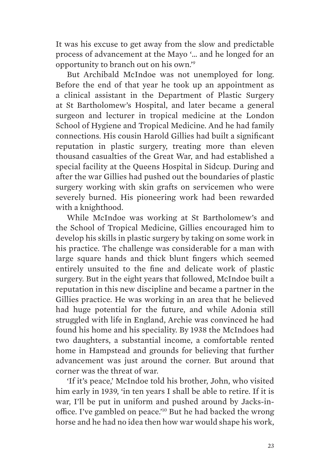It was his excuse to get away from the slow and predictable process of advancement at the Mayo '… and he longed for an opportunity to branch out on his own.'9

But Archibald McIndoe was not unemployed for long. Before the end of that year he took up an appointment as a clinical assistant in the Department of Plastic Surgery at St Bartholomew's Hospital, and later became a general surgeon and lecturer in tropical medicine at the London School of Hygiene and Tropical Medicine. And he had family connections. His cousin Harold Gillies had built a significant reputation in plastic surgery, treating more than eleven thousand casualties of the Great War, and had established a special facility at the Queens Hospital in Sidcup. During and after the war Gillies had pushed out the boundaries of plastic surgery working with skin grafts on servicemen who were severely burned. His pioneering work had been rewarded with a knighthood.

While McIndoe was working at St Bartholomew's and the School of Tropical Medicine, Gillies encouraged him to develop his skills in plastic surgery by taking on some work in his practice. The challenge was considerable for a man with large square hands and thick blunt fingers which seemed entirely unsuited to the fine and delicate work of plastic surgery. But in the eight years that followed, McIndoe built a reputation in this new discipline and became a partner in the Gillies practice. He was working in an area that he believed had huge potential for the future, and while Adonia still struggled with life in England, Archie was convinced he had found his home and his speciality. By 1938 the McIndoes had two daughters, a substantial income, a comfortable rented home in Hampstead and grounds for believing that further advancement was just around the corner. But around that corner was the threat of war.

'If it's peace,' McIndoe told his brother, John, who visited him early in 1939, 'in ten years I shall be able to retire. If it is war, I'll be put in uniform and pushed around by Jacks-inoffice. I've gambled on peace.'10 But he had backed the wrong horse and he had no idea then how war would shape his work,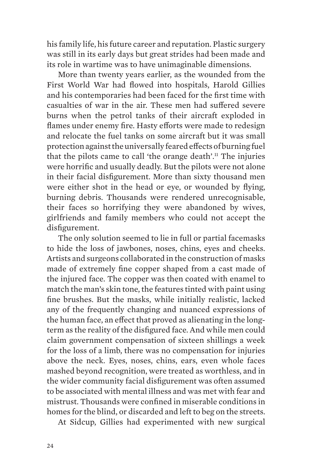his family life, his future career and reputation. Plastic surgery was still in its early days but great strides had been made and its role in wartime was to have unimaginable dimensions.

More than twenty years earlier, as the wounded from the First World War had flowed into hospitals, Harold Gillies and his contemporaries had been faced for the first time with casualties of war in the air. These men had suffered severe burns when the petrol tanks of their aircraft exploded in flames under enemy fire. Hasty efforts were made to redesign and relocate the fuel tanks on some aircraft but it was small protection against the universally feared effects of burning fuel that the pilots came to call 'the orange death'.11 The injuries were horrific and usually deadly. But the pilots were not alone in their facial disfigurement. More than sixty thousand men were either shot in the head or eye, or wounded by flying, burning debris. Thousands were rendered unrecognisable, their faces so horrifying they were abandoned by wives, girlfriends and family members who could not accept the disfigurement.

The only solution seemed to lie in full or partial facemasks to hide the loss of jawbones, noses, chins, eyes and cheeks. Artists and surgeons collaborated in the construction of masks made of extremely fine copper shaped from a cast made of the injured face. The copper was then coated with enamel to match the man's skin tone, the features tinted with paint using fine brushes. But the masks, while initially realistic, lacked any of the frequently changing and nuanced expressions of the human face, an effect that proved as alienating in the longterm as the reality of the disfigured face. And while men could claim government compensation of sixteen shillings a week for the loss of a limb, there was no compensation for injuries above the neck. Eyes, noses, chins, ears, even whole faces mashed beyond recognition, were treated as worthless, and in the wider community facial disfigurement was often assumed to be associated with mental illness and was met with fear and mistrust. Thousands were confined in miserable conditions in homes for the blind, or discarded and left to beg on the streets.

At Sidcup, Gillies had experimented with new surgical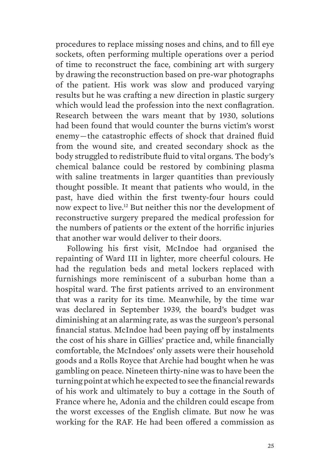procedures to replace missing noses and chins, and to fill eye sockets, often performing multiple operations over a period of time to reconstruct the face, combining art with surgery by drawing the reconstruction based on pre-war photographs of the patient. His work was slow and produced varying results but he was crafting a new direction in plastic surgery which would lead the profession into the next conflagration. Research between the wars meant that by 1930, solutions had been found that would counter the burns victim's worst enemy-the catastrophic effects of shock that drained fluid from the wound site, and created secondary shock as the body struggled to redistribute fluid to vital organs. The body's chemical balance could be restored by combining plasma with saline treatments in larger quantities than previously thought possible. It meant that patients who would, in the past, have died within the first twenty-four hours could now expect to live.12 But neither this nor the development of reconstructive surgery prepared the medical profession for the numbers of patients or the extent of the horrific injuries that another war would deliver to their doors.

Following his first visit, McIndoe had organised the repainting of Ward III in lighter, more cheerful colours. He had the regulation beds and metal lockers replaced with furnishings more reminiscent of a suburban home than a hospital ward. The first patients arrived to an environment that was a rarity for its time. Meanwhile, by the time war was declared in September 1939, the board's budget was diminishing at an alarming rate, as was the surgeon's personal financial status. McIndoe had been paying off by instalments the cost of his share in Gillies' practice and, while financially comfortable, the McIndoes' only assets were their household goods and a Rolls Royce that Archie had bought when he was gambling on peace. Nineteen thirty-nine was to have been the turning point at which he expected to see the financial rewards of his work and ultimately to buy a cottage in the South of France where he, Adonia and the children could escape from the worst excesses of the English climate. But now he was working for the RAF. He had been offered a commission as